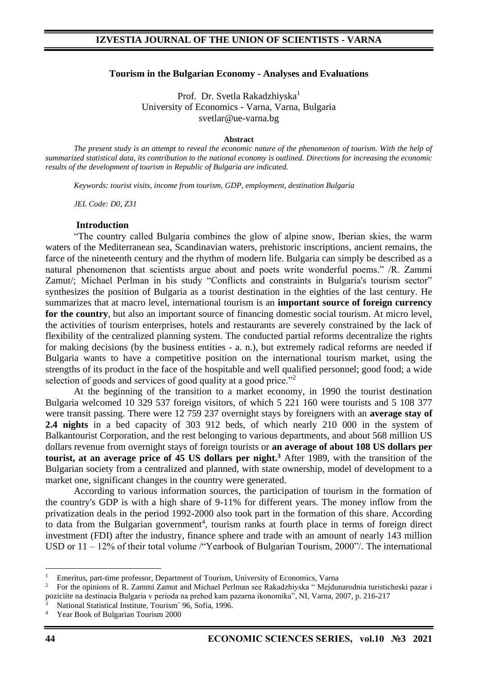### **Tourism in the Bulgarian Economy - Analyses and Evaluations**

Prof. Dr. Svetla Rakadzhiyska<sup>1</sup> University of Economics - Varna, Varna, Bulgaria svetlar@ue-varna.bg

#### **Abstract**

*The present study is an attempt to reveal the economic nature of the phenomenon of tourism. With the help of summarized statistical data, its contribution to the national economy is outlined. Directions for increasing the economic results of the development of tourism in Republic of Bulgaria are indicated.*

*Keywords: tourist visits, income from tourism, GDP, employment, destination Bulgaria*

*JEL Code: D0, Z31*

#### **Introduction**

"The country called Bulgaria combines the glow of alpine snow, Iberian skies, the warm waters of the Mediterranean sea, Scandinavian waters, prehistoric inscriptions, ancient remains, the farce of the nineteenth century and the rhythm of modern life. Bulgaria can simply be described as a natural phenomenon that scientists argue about and poets write wonderful poems." /R. Zammi Zamut/; Michael Perlman in his study "Conflicts and constraints in Bulgaria's tourism sector" synthesizes the position of Bulgaria as a tourist destination in the eighties of the last century. He summarizes that at macro level, international tourism is an **important source of foreign currency for the country**, but also an important source of financing domestic social tourism. At micro level, the activities of tourism enterprises, hotels and restaurants are severely constrained by the lack of flexibility of the centralized planning system. The conducted partial reforms decentralize the rights for making decisions (by the business entities - a. n.), but extremely radical reforms are needed if Bulgaria wants to have a competitive position on the international tourism market, using the strengths of its product in the face of the hospitable and well qualified personnel; good food; a wide selection of goods and services of good quality at a good price."<sup>2</sup>

At the beginning of the transition to a market economy, in 1990 the tourist destination Bulgaria welcomed 10 329 537 foreign visitors, of which 5 221 160 were tourists and 5 108 377 were transit passing. There were 12 759 237 overnight stays by foreigners with an **average stay of 2.4 nights** in a bed capacity of 303 912 beds, of which nearly 210 000 in the system of Balkantourist Corporation, and the rest belonging to various departments, and about 568 million US dollars revenue from overnight stays of foreign tourists or **an average of about 108 US dollars per tourist, at an average price of 45 US dollars per night. <sup>3</sup>** After 1989, with the transition of the Bulgarian society from a centralized and planned, with state ownership, model of development to a market one, significant changes in the country were generated.

According to various information sources, the participation of tourism in the formation of the country's GDP is with a high share of 9-11% for different years. The money inflow from the privatization deals in the period 1992-2000 also took part in the formation of this share. According to data from the Bulgarian government<sup>4</sup>, tourism ranks at fourth place in terms of foreign direct investment (FDI) after the industry, finance sphere and trade with an amount of nearly 143 million USD or 11 – 12% of their total volume /"Yearbook of Bulgarian Tourism, 2000"/. The international

<sup>&</sup>lt;sup>1</sup> Emeritus, part-time professor, Department of Tourism, University of Economics, Varna<br><sup>2</sup> Eor the opinions of R. Zammi Zamut and Michael Perlman see Rakadzhivska." Meidur

<sup>2</sup> For the opinions of R. Zammi Zamut and Michael Perlman see Rakadzhiyska " Mejdunarodnia turisticheski pazar i poziciite na destinacia Bulgaria v perioda na prehod kam pazarna ikonomika", NI, Varna, 2007, p. 216-217

<sup>3</sup> National Statistical Institute, Tourism` 96, Sofia, 1996.

<sup>4</sup> Year Book of Bulgarian Tourism 2000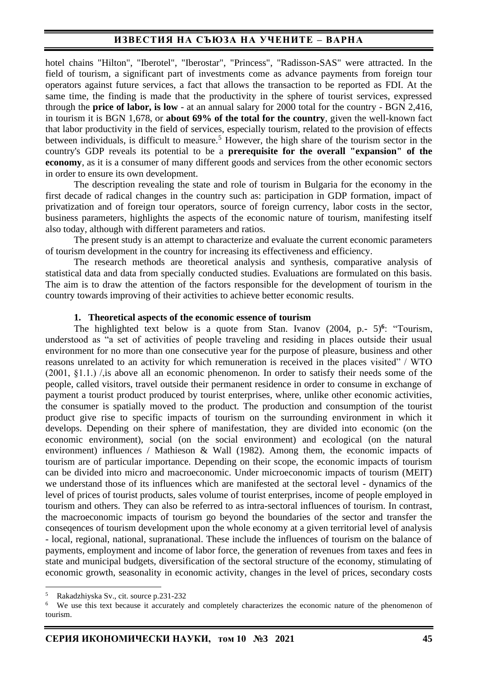hotel chains "Hilton", "Iberotel", "Iberostar", "Princess", "Radisson-SAS" were attracted. In the field of tourism, a significant part of investments come as advance payments from foreign tour operators against future services, a fact that allows the transaction to be reported as FDI. At the same time, the finding is made that the productivity in the sphere of tourist services, expressed through the **price of labor, is low** - at an annual salary for 2000 total for the country - BGN 2,416, in tourism it is BGN 1,678, or **about 69% of the total for the country**, given the well-known fact that labor productivity in the field of services, especially tourism, related to the provision of effects between individuals, is difficult to measure.<sup>5</sup> However, the high share of the tourism sector in the country's GDP reveals its potential to be a **prerequisite for the overall "expansion" of the economy**, as it is a consumer of many different goods and services from the other economic sectors in order to ensure its own development.

The description revealing the state and role of tourism in Bulgaria for the economy in the first decade of radical changes in the country such as: participation in GDP formation, impact of privatization and of foreign tour operators, source of foreign currency, labor costs in the sector, business parameters, highlights the aspects of the economic nature of tourism, manifesting itself also today, although with different parameters and ratios.

The present study is an attempt to characterize and evaluate the current economic parameters of tourism development in the country for increasing its effectiveness and efficiency.

The research methods are theoretical analysis and synthesis, comparative analysis of statistical data and data from specially conducted studies. Evaluations are formulated on this basis. The aim is to draw the attention of the factors responsible for the development of tourism in the country towards improving of their activities to achieve better economic results.

### **1. Theoretical aspects of the economic essence of tourism**

The highlighted text below is a quote from Stan. Ivanov (2004, p. 5)<sup>6</sup>: "Tourism, understood as "a set of activities of people traveling and residing in places outside their usual environment for no more than one consecutive year for the purpose of pleasure, business and other reasons unrelated to an activity for which remuneration is received in the places visited" / WTO (2001, §1.1.) /,is above all an economic phenomenon. In order to satisfy their needs some of the people, called visitors, travel outside their permanent residence in order to consume in exchange of payment a tourist product produced by tourist enterprises, where, unlike other economic activities, the consumer is spatially moved to the product. The production and consumption of the tourist product give rise to specific impacts of tourism on the surrounding environment in which it develops. Depending on their sphere of manifestation, they are divided into economic (on the economic environment), social (on the social environment) and ecological (on the natural environment) influences / Mathieson & Wall (1982). Among them, the economic impacts of tourism are of particular importance. Depending on their scope, the economic impacts of tourism can be divided into micro and macroeconomic. Under microeconomic impacts of tourism (MEIT) we understand those of its influences which are manifested at the sectoral level - dynamics of the level of prices of tourist products, sales volume of tourist enterprises, income of people employed in tourism and others. They can also be referred to as intra-sectoral influences of tourism. In contrast, the macroeconomic impacts of tourism go beyond the boundaries of the sector and transfer the conseqences of tourism development upon the whole economy at a given territorial level of analysis - local, regional, national, supranational. These include the influences of tourism on the balance of payments, employment and income of labor force, the generation of revenues from taxes and fees in state and municipal budgets, diversification of the sectoral structure of the economy, stimulating of economic growth, seasonality in economic activity, changes in the level of prices, secondary costs

<sup>&</sup>lt;sup>5</sup> Rakadzhiyska Sv., cit. source p.231-232<br><sup>6</sup> We use this text because it accurately

We use this text because it accurately and completely characterizes the economic nature of the phenomenon of tourism.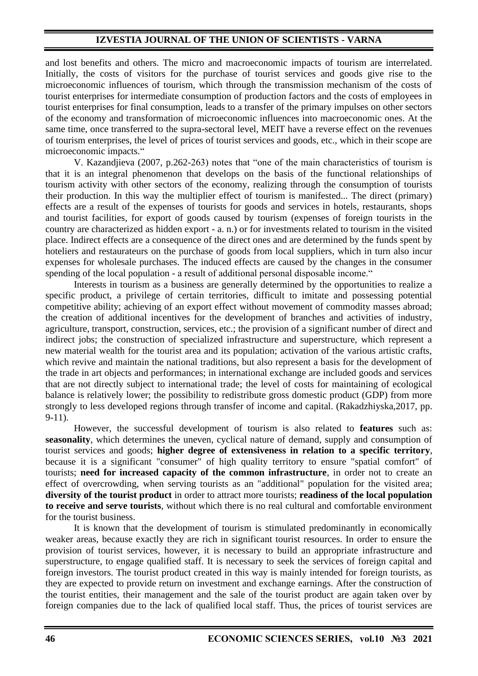# **IZVESTIA JOURNAL OF THE UNION OF SCIENTISTS - VARNA**

and lost benefits and others. The micro and macroeconomic impacts of tourism are interrelated. Initially, the costs of visitors for the purchase of tourist services and goods give rise to the microeconomic influences of tourism, which through the transmission mechanism of the costs of tourist enterprises for intermediate consumption of production factors and the costs of employees in tourist enterprises for final consumption, leads to a transfer of the primary impulses on other sectors of the economy and transformation of microeconomic influences into macroeconomic ones. At the same time, once transferred to the supra-sectoral level, MEIT have a reverse effect on the revenues of tourism enterprises, the level of prices of tourist services and goods, etc., which in their scope are microeconomic impacts."

V. Kazandjieva (2007, p.262-263) notes that "one of the main characteristics of tourism is that it is an integral phenomenon that develops on the basis of the functional relationships of tourism activity with other sectors of the economy, realizing through the consumption of tourists their production. In this way the multiplier effect of tourism is manifested... The direct (primary) effects are a result of the expenses of tourists for goods and services in hotels, restaurants, shops and tourist facilities, for export of goods caused by tourism (expenses of foreign tourists in the country are characterized as hidden export - a. n.) or for investments related to tourism in the visited place. Indirect effects are a consequence of the direct ones and are determined by the funds spent by hoteliers and restaurateurs on the purchase of goods from local suppliers, which in turn also incur expenses for wholesale purchases. The induced effects are caused by the changes in the consumer spending of the local population - a result of additional personal disposable income."

Interests in tourism as a business are generally determined by the opportunities to realize a specific product, a privilege of certain territories, difficult to imitate and possessing potential competitive ability; achieving of an export effect without movement of commodity masses abroad; the creation of additional incentives for the development of branches and activities of industry, agriculture, transport, construction, services, etc.; the provision of a significant number of direct and indirect jobs; the construction of specialized infrastructure and superstructure, which represent a new material wealth for the tourist area and its population; activation of the various artistic crafts, which revive and maintain the national traditions, but also represent a basis for the development of the trade in art objects and performances; in international exchange are included goods and services that are not directly subject to international trade; the level of costs for maintaining of ecological balance is relatively lower; the possibility to redistribute gross domestic product (GDP) from more strongly to less developed regions through transfer of income and capital. (Rakadzhiyska,2017, pp. 9-11).

However, the successful development of tourism is also related to **features** such as: **seasonality**, which determines the uneven, cyclical nature of demand, supply and consumption of tourist services and goods; **higher degree of extensiveness in relation to a specific territory**, because it is a significant "consumer" of high quality territory to ensure "spatial comfort" of tourists; **need for increased capacity of the common infrastructure**, in order not to create an effect of overcrowding, when serving tourists as an "additional" population for the visited area; **diversity of the tourist product** in order to attract more tourists; **readiness of the local population to receive and serve tourists**, without which there is no real cultural and comfortable environment for the tourist business.

It is known that the development of tourism is stimulated predominantly in economically weaker areas, because exactly they are rich in significant tourist resources. In order to ensure the provision of tourist services, however, it is necessary to build an appropriate infrastructure and superstructure, to engage qualified staff. It is necessary to seek the services of foreign capital and foreign investors. The tourist product created in this way is mainly intended for foreign tourists, as they are expected to provide return on investment and exchange earnings. After the construction of the tourist entities, their management and the sale of the tourist product are again taken over by foreign companies due to the lack of qualified local staff. Thus, the prices of tourist services are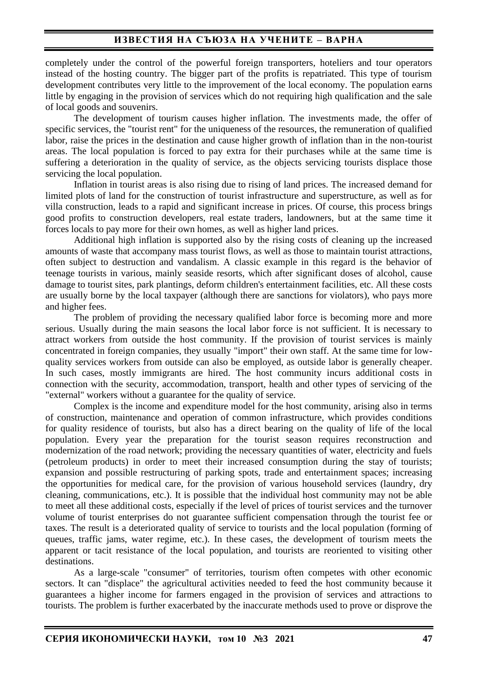completely under the control of the powerful foreign transporters, hoteliers and tour operators instead of the hosting country. The bigger part of the profits is repatriated. This type of tourism development contributes very little to the improvement of the local economy. The population earns little by engaging in the provision of services which do not requiring high qualification and the sale of local goods and souvenirs.

The development of tourism causes higher inflation. The investments made, the offer of specific services, the "tourist rent" for the uniqueness of the resources, the remuneration of qualified labor, raise the prices in the destination and cause higher growth of inflation than in the non-tourist areas. The local population is forced to pay extra for their purchases while at the same time is suffering a deterioration in the quality of service, as the objects servicing tourists displace those servicing the local population.

Inflation in tourist areas is also rising due to rising of land prices. The increased demand for limited plots of land for the construction of tourist infrastructure and superstructure, as well as for villa construction, leads to a rapid and significant increase in prices. Of course, this process brings good profits to construction developers, real estate traders, landowners, but at the same time it forces locals to pay more for their own homes, as well as higher land prices.

Additional high inflation is supported also by the rising costs of cleaning up the increased amounts of waste that accompany mass tourist flows, as well as those to maintain tourist attractions, often subject to destruction and vandalism. A classic example in this regard is the behavior of teenage tourists in various, mainly seaside resorts, which after significant doses of alcohol, cause damage to tourist sites, park plantings, deform children's entertainment facilities, etc. All these costs are usually borne by the local taxpayer (although there are sanctions for violators), who pays more and higher fees.

The problem of providing the necessary qualified labor force is becoming more and more serious. Usually during the main seasons the local labor force is not sufficient. It is necessary to attract workers from outside the host community. If the provision of tourist services is mainly concentrated in foreign companies, they usually "import" their own staff. At the same time for lowquality services workers from outside can also be employed, as outside labor is generally cheaper. In such cases, mostly immigrants are hired. The host community incurs additional costs in connection with the security, accommodation, transport, health and other types of servicing of the "external" workers without a guarantee for the quality of service.

Complex is the income and expenditure model for the host community, arising also in terms of construction, maintenance and operation of common infrastructure, which provides conditions for quality residence of tourists, but also has a direct bearing on the quality of life of the local population. Every year the preparation for the tourist season requires reconstruction and modernization of the road network; providing the necessary quantities of water, electricity and fuels (petroleum products) in order to meet their increased consumption during the stay of tourists; expansion and possible restructuring of parking spots, trade and entertainment spaces; increasing the opportunities for medical care, for the provision of various household services (laundry, dry cleaning, communications, etc.). It is possible that the individual host community may not be able to meet all these additional costs, especially if the level of prices of tourist services and the turnover volume of tourist enterprises do not guarantee sufficient compensation through the tourist fee or taxes. The result is a deteriorated quality of service to tourists and the local population (forming of queues, traffic jams, water regime, etc.). In these cases, the development of tourism meets the apparent or tacit resistance of the local population, and tourists are reoriented to visiting other destinations.

As a large-scale "consumer" of territories, tourism often competes with other economic sectors. It can "displace" the agricultural activities needed to feed the host community because it guarantees a higher income for farmers engaged in the provision of services and attractions to tourists. The problem is further exacerbated by the inaccurate methods used to prove or disprove the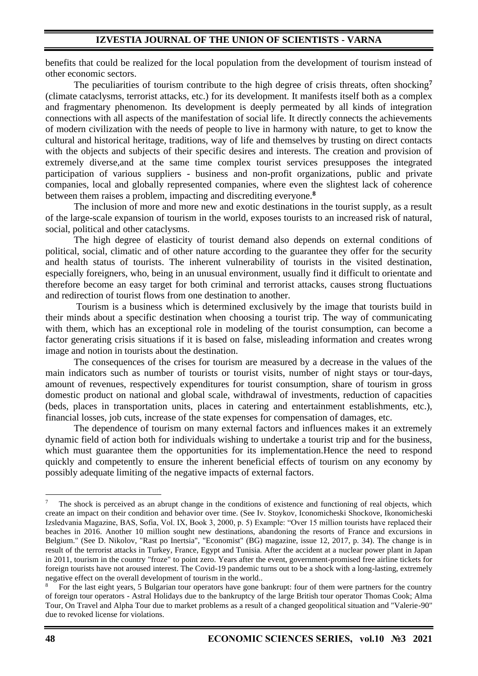benefits that could be realized for the local population from the development of tourism instead of other economic sectors.

The peculiarities of tourism contribute to the high degree of crisis threats, often shocking**<sup>7</sup>** (climate cataclysms, terrorist attacks, etc.) for its development. It manifests itself both as a complex and fragmentary phenomenon. Its development is deeply permeated by all kinds of integration connections with all aspects of the manifestation of social life. It directly connects the achievements of modern civilization with the needs of people to live in harmony with nature, to get to know the cultural and historical heritage, traditions, way of life and themselves by trusting on direct contacts with the objects and subjects of their specific desires and interests. The creation and provision of extremely diverse,and at the same time complex tourist services presupposes the integrated participation of various suppliers - business and non-profit organizations, public and private companies, local and globally represented companies, where even the slightest lack of coherence between them raises a problem, impacting and discrediting everyone.**<sup>8</sup>**

The inclusion of more and more new and exotic destinations in the tourist supply, as a result of the large-scale expansion of tourism in the world, exposes tourists to an increased risk of natural, social, political and other cataclysms.

The high degree of elasticity of tourist demand also depends on external conditions of political, social, climatic and of other nature according to the guarantee they offer for the security and health status of tourists. The inherent vulnerability of tourists in the visited destination, especially foreigners, who, being in an unusual environment, usually find it difficult to orientate and therefore become an easy target for both criminal and terrorist attacks, causes strong fluctuations and redirection of tourist flows from one destination to another.

Tourism is a business which is determined exclusively by the image that tourists build in their minds about a specific destination when choosing a tourist trip. The way of communicating with them, which has an exceptional role in modeling of the tourist consumption, can become a factor generating crisis situations if it is based on false, misleading information and creates wrong image and notion in tourists about the destination.

The consequences of the crises for tourism are measured by a decrease in the values of the main indicators such as number of tourists or tourist visits, number of night stays or tour-days, amount of revenues, respectively expenditures for tourist consumption, share of tourism in gross domestic product on national and global scale, withdrawal of investments, reduction of capacities (beds, places in transportation units, places in catering and entertainment establishments, etc.), financial losses, job cuts, increase of the state expenses for compensation of damages, etc.

The dependence of tourism on many external factors and influences makes it an extremely dynamic field of action both for individuals wishing to undertake a tourist trip and for the business, which must guarantee them the opportunities for its implementation. Hence the need to respond quickly and competently to ensure the inherent beneficial effects of tourism on any economy by possibly adequate limiting of the negative impacts of external factors.

<sup>7</sup> The shock is perceived as an abrupt change in the conditions of existence and functioning of real objects, which create an impact on their condition and behavior over time. (See Iv. Stoykov, Iconomicheski Shockove, Ikonomicheski Izsledvania Magazine, BAS, Sofia, Vol. IX, Book 3, 2000, p. 5) Example: "Over 15 million tourists have replaced their beaches in 2016. Another 10 million sought new destinations, abandoning the resorts of France and excursions in Belgium." (See D. Nikolov, "Rast po Inertsia", "Economist" (BG) magazine, issue 12, 2017, p. 34). The change is in result of the terrorist attacks in Turkey, France, Egypt and Tunisia. After the accident at a nuclear power plant in Japan in 2011, tourism in the country "froze" to point zero. Years after the event, government-promised free airline tickets for foreign tourists have not aroused interest. The Covid-19 pandemic turns out to be a shock with a long-lasting, extremely negative effect on the overall development of tourism in the world..

<sup>8</sup> For the last eight years, 5 Bulgarian tour operators have gone bankrupt: four of them were partners for the country of foreign tour operators - Astral Holidays due to the bankruptcy of the large British tour operator Thomas Cook; Alma Tour, On Travel and Alpha Tour due to market problems as a result of a changed geopolitical situation and "Valerie-90" due to revoked license for violations.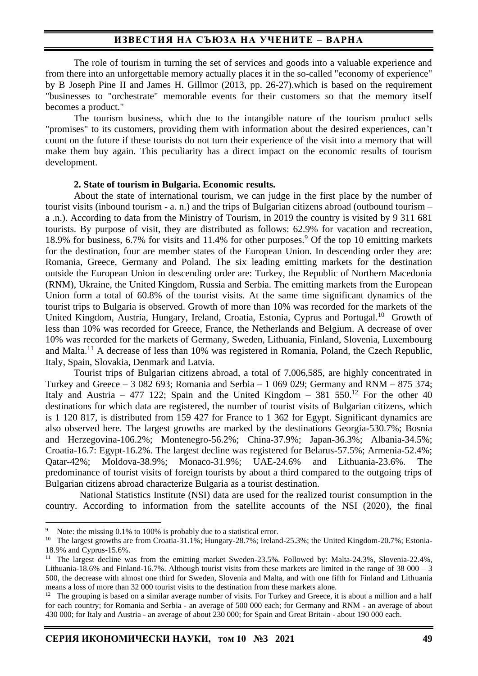The role of tourism in turning the set of services and goods into a valuable experience and from there into an unforgettable memory actually places it in the so-called "economy of experience" by B Joseph Pine II and James H. Gillmor (2013, pp. 26-27).which is based on the requirement "businesses to "orchestrate" memorable events for their customers so that the memory itself becomes a product."

The tourism business, which due to the intangible nature of the tourism product sells "promises" to its customers, providing them with information about the desired experiences, can't count on the future if these tourists do not turn their experience of the visit into a memory that will make them buy again. This peculiarity has a direct impact on the economic results of tourism development.

#### **2. State of tourism in Bulgaria. Economic results.**

About the state of international tourism, we can judge in the first place by the number of tourist visits (inbound tourism - a. n.) and the trips of Bulgarian citizens abroad (outbound tourism – a .n.). According to data from the Ministry of Tourism, in 2019 the country is visited by 9 311 681 tourists. By purpose of visit, they are distributed as follows: 62.9% for vacation and recreation, 18.9% for business, 6.7% for visits and 11.4% for other purposes.<sup>9</sup> Of the top 10 emitting markets for the destination, four are member states of the European Union. In descending order they are: Romania, Greece, Germany and Poland. The six leading emitting markets for the destination outside the European Union in descending order are: Turkey, the Republic of Northern Macedonia (RNM), Ukraine, the United Kingdom, Russia and Serbia. The emitting markets from the European Union form a total of 60.8% of the tourist visits. At the same time significant dynamics of the tourist trips to Bulgaria is observed. Growth of more than 10% was recorded for the markets of the United Kingdom, Austria, Hungary, Ireland, Croatia, Estonia, Cyprus and Portugal.<sup>10</sup> Growth of less than 10% was recorded for Greece, France, the Netherlands and Belgium. A decrease of over 10% was recorded for the markets of Germany, Sweden, Lithuania, Finland, Slovenia, Luxembourg and Malta.<sup>11</sup> A decrease of less than 10% was registered in Romania, Poland, the Czech Republic, Italy, Spain, Slovakia, Denmark and Latvia.

Tourist trips of Bulgarian citizens abroad, a total of 7,006,585, are highly concentrated in Turkey and Greece – 3 082 693; Romania and Serbia – 1 069 029; Germany and RNM – 875 374; Italy and Austria – 477 122; Spain and the United Kingdom – 381 550.<sup>12</sup> For the other 40 destinations for which data are registered, the number of tourist visits of Bulgarian citizens, which is 1 120 817, is distributed from 159 427 for France to 1 362 for Egypt. Significant dynamics are also observed here. The largest growths are marked by the destinations Georgia-530.7%; Bosnia and Herzegovina-106.2%; Montenegro-56.2%; China-37.9%; Japan-36.3%; Albania-34.5%; Croatia-16.7: Egypt-16.2%. The largest decline was registered for Belarus-57.5%; Armenia-52.4%; Qatar-42%; Moldova-38.9%; Monaco-31.9%; UAE-24.6% and Lithuania-23.6%. The predominance of tourist visits of foreign tourists by about a third compared to the outgoing trips of Bulgarian citizens abroad characterize Bulgaria as a tourist destination.

National Statistics Institute (NSI) data are used for the realized tourist consumption in the country. According to information from the satellite accounts of the NSI (2020), the final

Note: the missing 0.1% to 100% is probably due to a statistical error.

<sup>&</sup>lt;sup>10</sup> The largest growths are from Croatia-31.1%; Hungary-28.7%; Ireland-25.3%; the United Kingdom-20.7%; Estonia-18.9% and Cyprus-15.6%.

<sup>11</sup> The largest decline was from the emitting market Sweden-23.5%. Followed by: Malta-24.3%, Slovenia-22.4%, Lithuania-18.6% and Finland-16.7%. Although tourist visits from these markets are limited in the range of 38 000 – 3 500, the decrease with almost one third for Sweden, Slovenia and Malta, and with one fifth for Finland and Lithuania means a loss of more than 32 000 tourist visits to the destination from these markets alone.

<sup>&</sup>lt;sup>12</sup> The grouping is based on a similar average number of visits. For Turkey and Greece, it is about a million and a half for each country; for Romania and Serbia - an average of 500 000 each; for Germany and RNM - an average of about 430 000; for Italy and Austria - an average of about 230 000; for Spain and Great Britain - about 190 000 each.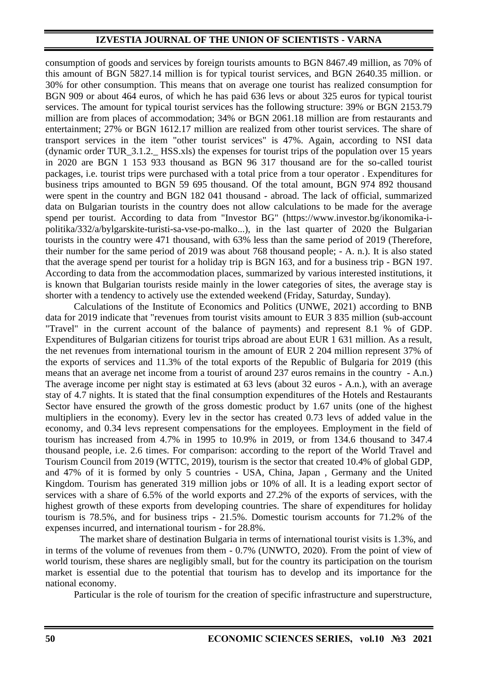## **IZVESTIA JOURNAL OF THE UNION OF SCIENTISTS - VARNA**

consumption of goods and services by foreign tourists amounts to BGN 8467.49 million, as 70% of this amount of BGN 5827.14 million is for typical tourist services, and BGN 2640.35 million. or 30% for other consumption. This means that on average one tourist has realized consumption for BGN 909 or about 464 euros, of which he has paid 636 levs or about 325 euros for typical tourist services. The amount for typical tourist services has the following structure: 39% or BGN 2153.79 million are from places of accommodation; 34% or BGN 2061.18 million are from restaurants and entertainment; 27% or BGN 1612.17 million are realized from other tourist services. The share of transport services in the item "other tourist services" is 47%. Again, according to NSI data (dynamic order TUR\_3.1.2.\_ HSS.xls) the expenses for tourist trips of the population over 15 years in 2020 are BGN 1 153 933 thousand as BGN 96 317 thousand are for the so-called tourist packages, i.e. tourist trips were purchased with a total price from a tour operator . Expenditures for business trips amounted to BGN 59 695 thousand. Of the total amount, BGN 974 892 thousand were spent in the country and BGN 182 041 thousand - abroad. The lack of official, summarized data on Bulgarian tourists in the country does not allow calculations to be made for the average spend per tourist. According to data from "Investor BG" (https://www.investor.bg/ikonomika-ipolitika/332/a/bylgarskite-turisti-sa-vse-po-malko...), in the last quarter of 2020 the Bulgarian tourists in the country were 471 thousand, with 63% less than the same period of 2019 (Therefore, their number for the same period of 2019 was about 768 thousand people; - A. n.). It is also stated that the average spend per tourist for a holiday trip is BGN 163, and for a business trip - BGN 197. According to data from the accommodation places, summarized by various interested institutions, it is known that Bulgarian tourists reside mainly in the lower categories of sites, the average stay is shorter with a tendency to actively use the extended weekend (Friday, Saturday, Sunday).

Calculations of the Institute of Economics and Politics (UNWE, 2021) according to BNB data for 2019 indicate that "revenues from tourist visits amount to EUR 3 835 million (sub-account "Travel" in the current account of the balance of payments) and represent 8.1 % of GDP. Expenditures of Bulgarian citizens for tourist trips abroad are about EUR 1 631 million. As a result, the net revenues from international tourism in the amount of EUR 2 204 million represent 37% of the exports of services and 11.3% of the total exports of the Republic of Bulgaria for 2019 (this means that an average net income from a tourist of around 237 euros remains in the country - A.n.) The average income per night stay is estimated at 63 levs (about 32 euros - A.n.), with an average stay of 4.7 nights. It is stated that the final consumption expenditures of the Hotels and Restaurants Sector have ensured the growth of the gross domestic product by 1.67 units (one of the highest multipliers in the economy). Every lev in the sector has created 0.73 levs of added value in the economy, and 0.34 levs represent compensations for the employees. Employment in the field of tourism has increased from 4.7% in 1995 to 10.9% in 2019, or from 134.6 thousand to 347.4 thousand people, i.e. 2.6 times. For comparison: according to the report of the World Travel and Tourism Council from 2019 (WTTC, 2019), tourism is the sector that created 10.4% of global GDP, and 47% of it is formed by only 5 countries - USA, China, Japan , Germany and the United Kingdom. Tourism has generated 319 million jobs or 10% of all. It is a leading export sector of services with a share of 6.5% of the world exports and 27.2% of the exports of services, with the highest growth of these exports from developing countries. The share of expenditures for holiday tourism is 78.5%, and for business trips - 21.5%. Domestic tourism accounts for 71.2% of the expenses incurred, and international tourism - for 28.8%.

The market share of destination Bulgaria in terms of international tourist visits is 1.3%, and in terms of the volume of revenues from them - 0.7% (UNWTO, 2020). From the point of view of world tourism, these shares are negligibly small, but for the country its participation on the tourism market is essential due to the potential that tourism has to develop and its importance for the national economy.

Particular is the role of tourism for the creation of specific infrastructure and superstructure,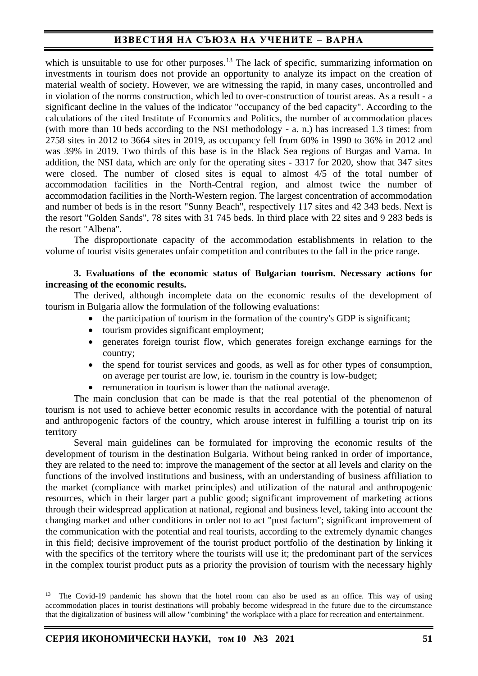which is unsuitable to use for other purposes.<sup>13</sup> The lack of specific, summarizing information on investments in tourism does not provide an opportunity to analyze its impact on the creation of material wealth of society. However, we are witnessing the rapid, in many cases, uncontrolled and in violation of the norms construction, which led to over-construction of tourist areas. As a result - a significant decline in the values of the indicator "occupancy of the bed capacity". According to the calculations of the cited Institute of Economics and Politics, the number of accommodation places (with more than 10 beds according to the NSI methodology - a. n.) has increased 1.3 times: from 2758 sites in 2012 to 3664 sites in 2019, as occupancy fell from 60% in 1990 to 36% in 2012 and was 39% in 2019. Two thirds of this base is in the Black Sea regions of Burgas and Varna. In addition, the NSI data, which are only for the operating sites - 3317 for 2020, show that 347 sites were closed. The number of closed sites is equal to almost 4/5 of the total number of accommodation facilities in the North-Central region, and almost twice the number of accommodation facilities in the North-Western region. The largest concentration of accommodation and number of beds is in the resort "Sunny Beach", respectively 117 sites and 42 343 beds. Next is the resort "Golden Sands", 78 sites with 31 745 beds. In third place with 22 sites and 9 283 beds is the resort "Albena".

The disproportionate capacity of the accommodation establishments in relation to the volume of tourist visits generates unfair competition and contributes to the fall in the price range.

## **3. Evaluations of the economic status of Bulgarian tourism. Necessary actions for increasing of the economic results.**

The derived, although incomplete data on the economic results of the development of tourism in Bulgaria allow the formulation of the following evaluations:

- the participation of tourism in the formation of the country's GDP is significant;
- tourism provides significant employment;
- generates foreign tourist flow, which generates foreign exchange earnings for the country;
- the spend for tourist services and goods, as well as for other types of consumption, on average per tourist are low, ie. tourism in the country is low-budget;
- remuneration in tourism is lower than the national average.

The main conclusion that can be made is that the real potential of the phenomenon of tourism is not used to achieve better economic results in accordance with the potential of natural and anthropogenic factors of the country, which arouse interest in fulfilling a tourist trip on its territory

Several main guidelines can be formulated for improving the economic results of the development of tourism in the destination Bulgaria. Without being ranked in order of importance, they are related to the need to: improve the management of the sector at all levels and clarity on the functions of the involved institutions and business, with an understanding of business affiliation to the market (compliance with market principles) and utilization of the natural and anthropogenic resources, which in their larger part a public good; significant improvement of marketing actions through their widespread application at national, regional and business level, taking into account the changing market and other conditions in order not to act "post factum"; significant improvement of the communication with the potential and real tourists, according to the extremely dynamic changes in this field; decisive improvement of the tourist product portfolio of the destination by linking it with the specifics of the territory where the tourists will use it; the predominant part of the services in the complex tourist product puts as a priority the provision of tourism with the necessary highly

<sup>&</sup>lt;sup>13</sup> The Covid-19 pandemic has shown that the hotel room can also be used as an office. This way of using accommodation places in tourist destinations will probably become widespread in the future due to the circumstance that the digitalization of business will allow "combining" the workplace with a place for recreation and entertainment.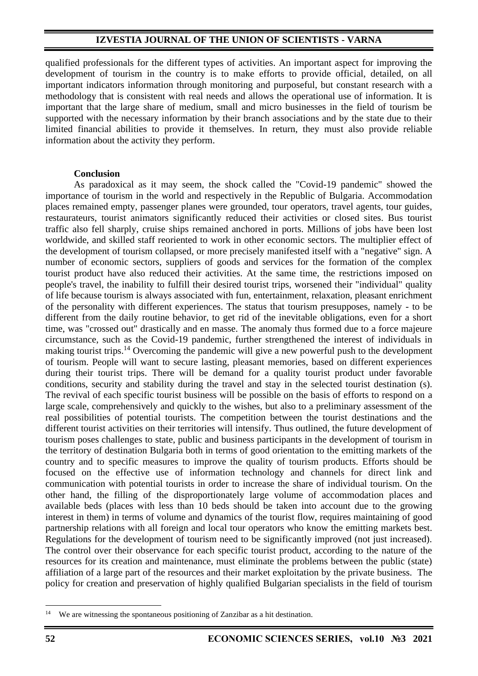## **IZVESTIA JOURNAL OF THE UNION OF SCIENTISTS - VARNA**

qualified professionals for the different types of activities. An important aspect for improving the development of tourism in the country is to make efforts to provide official, detailed, on all important indicators information through monitoring and purposeful, but constant research with a methodology that is consistent with real needs and allows the operational use of information. It is important that the large share of medium, small and micro businesses in the field of tourism be supported with the necessary information by their branch associations and by the state due to their limited financial abilities to provide it themselves. In return, they must also provide reliable information about the activity they perform.

## **Conclusion**

As paradoxical as it may seem, the shock called the "Covid-19 pandemic" showed the importance of tourism in the world and respectively in the Republic of Bulgaria. Accommodation places remained empty, passenger planes were grounded, tour operators, travel agents, tour guides, restaurateurs, tourist animators significantly reduced their activities or closed sites. Bus tourist traffic also fell sharply, cruise ships remained anchored in ports. Millions of jobs have been lost worldwide, and skilled staff reoriented to work in other economic sectors. The multiplier effect of the development of tourism collapsed, or more precisely manifested itself with a "negative" sign. A number of economic sectors, suppliers of goods and services for the formation of the complex tourist product have also reduced their activities. At the same time, the restrictions imposed on people's travel, the inability to fulfill their desired tourist trips, worsened their "individual" quality of life because tourism is always associated with fun, entertainment, relaxation, pleasant enrichment of the personality with different experiences. The status that tourism presupposes, namely - to be different from the daily routine behavior, to get rid of the inevitable obligations, even for a short time, was "crossed out" drastically and en masse. The anomaly thus formed due to a force majeure circumstance, such as the Covid-19 pandemic, further strengthened the interest of individuals in making tourist trips.<sup>14</sup> Overcoming the pandemic will give a new powerful push to the development of tourism. People will want to secure lasting, pleasant memories, based on different experiences during their tourist trips. There will be demand for a quality tourist product under favorable conditions, security and stability during the travel and stay in the selected tourist destination (s). The revival of each specific tourist business will be possible on the basis of efforts to respond on a large scale, comprehensively and quickly to the wishes, but also to a preliminary assessment of the real possibilities of potential tourists. The competition between the tourist destinations and the different tourist activities on their territories will intensify. Thus outlined, the future development of tourism poses challenges to state, public and business participants in the development of tourism in the territory of destination Bulgaria both in terms of good orientation to the emitting markets of the country and to specific measures to improve the quality of tourism products. Efforts should be focused on the effective use of information technology and channels for direct link and communication with potential tourists in order to increase the share of individual tourism. On the other hand, the filling of the disproportionately large volume of accommodation places and available beds (places with less than 10 beds should be taken into account due to the growing interest in them) in terms of volume and dynamics of the tourist flow, requires maintaining of good partnership relations with all foreign and local tour operators who know the emitting markets best. Regulations for the development of tourism need to be significantly improved (not just increased). The control over their observance for each specific tourist product, according to the nature of the resources for its creation and maintenance, must eliminate the problems between the public (state) affiliation of a large part of the resources and their market exploitation by the private business. The policy for creation and preservation of highly qualified Bulgarian specialists in the field of tourism

<sup>&</sup>lt;sup>14</sup> We are witnessing the spontaneous positioning of Zanzibar as a hit destination.